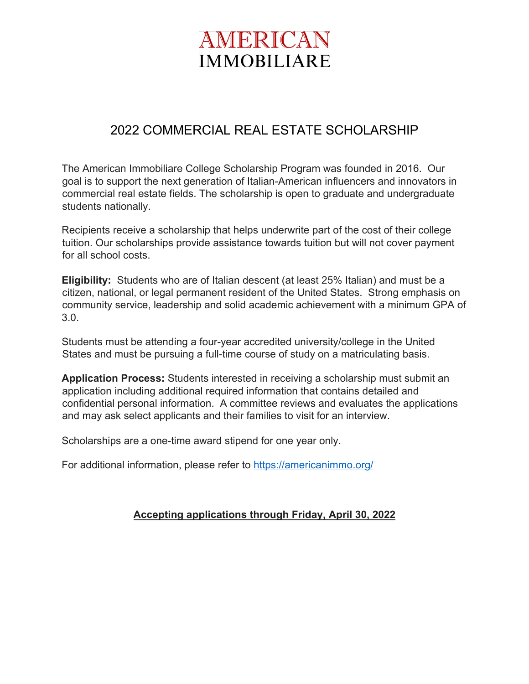# AMERICAN **IMMOBILIARE**

### 2022 COMMERCIAL REAL ESTATE SCHOLARSHIP

The American Immobiliare College Scholarship Program was founded in 2016. Our goal is to support the next generation of Italian-American influencers and innovators in commercial real estate fields. The scholarship is open to graduate and undergraduate students nationally.

Recipients receive a scholarship that helps underwrite part of the cost of their college tuition. Our scholarships provide assistance towards tuition but will not cover payment for all school costs.

**Eligibility:** Students who are of Italian descent (at least 25% Italian) and must be a citizen, national, or legal permanent resident of the United States. Strong emphasis on community service, leadership and solid academic achievement with a minimum GPA of 3.0.

Students must be attending a four-year accredited university/college in the United States and must be pursuing a full-time course of study on a matriculating basis.

**Application Process:** Students interested in receiving a scholarship must submit an application including additional required information that contains detailed and confidential personal information. A committee reviews and evaluates the applications and may ask select applicants and their families to visit for an interview.

Scholarships are a one-time award stipend for one year only.

For additional information, please refer to https://americanimmo.org/

#### **Accepting applications through Friday, April 30, 2022**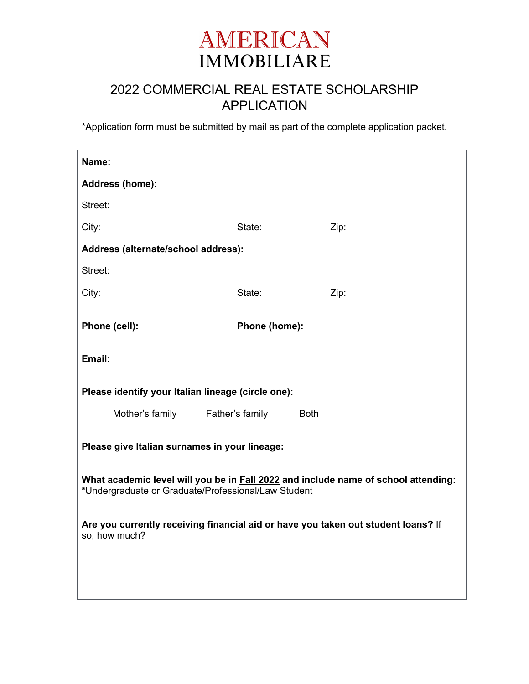

### 2022 COMMERCIAL REAL ESTATE SCHOLARSHIP APPLICATION

\*Application form must be submitted by mail as part of the complete application packet.

| Name:                                                                                                                                     |               |             |
|-------------------------------------------------------------------------------------------------------------------------------------------|---------------|-------------|
| Address (home):                                                                                                                           |               |             |
| Street:                                                                                                                                   |               |             |
| City:                                                                                                                                     | State:        | Zip:        |
| Address (alternate/school address):                                                                                                       |               |             |
| Street:                                                                                                                                   |               |             |
| City:                                                                                                                                     | State:        | Zip:        |
| Phone (cell):                                                                                                                             | Phone (home): |             |
| Email:                                                                                                                                    |               |             |
| Please identify your Italian lineage (circle one):                                                                                        |               |             |
| Mother's family Father's family                                                                                                           |               | <b>Both</b> |
| Please give Italian surnames in your lineage:                                                                                             |               |             |
| What academic level will you be in Fall 2022 and include name of school attending:<br>*Undergraduate or Graduate/Professional/Law Student |               |             |
| Are you currently receiving financial aid or have you taken out student loans? If<br>so, how much?                                        |               |             |
|                                                                                                                                           |               |             |
|                                                                                                                                           |               |             |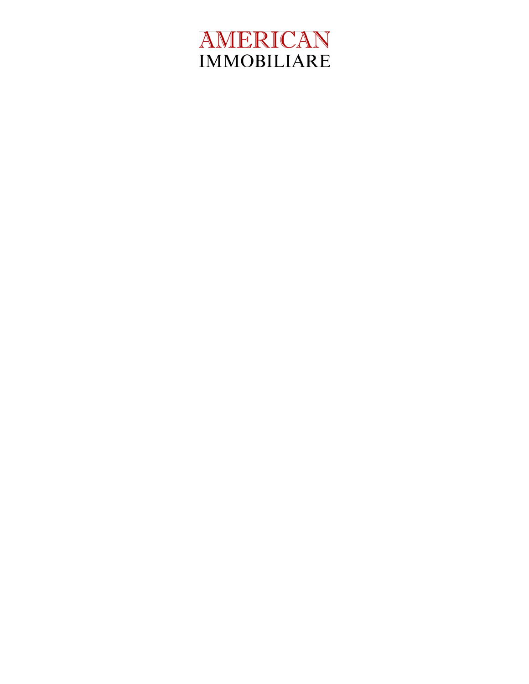